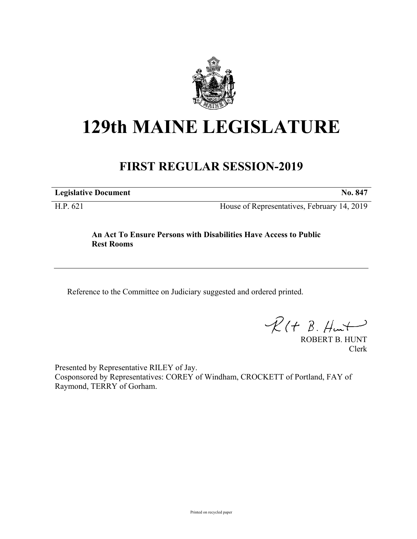

## **129th MAINE LEGISLATURE**

## **FIRST REGULAR SESSION-2019**

**Legislative Document No. 847**

H.P. 621 House of Representatives, February 14, 2019

## **An Act To Ensure Persons with Disabilities Have Access to Public Rest Rooms**

Reference to the Committee on Judiciary suggested and ordered printed.

 $R(H B. Hmt)$ 

ROBERT B. HUNT Clerk

Presented by Representative RILEY of Jay. Cosponsored by Representatives: COREY of Windham, CROCKETT of Portland, FAY of Raymond, TERRY of Gorham.